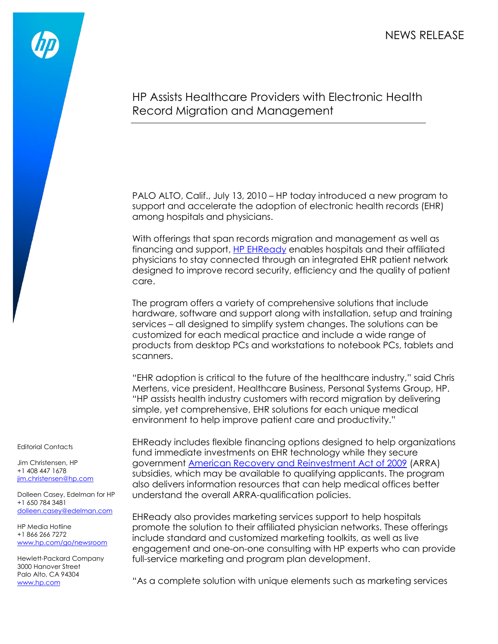NEWS RELEASE



## HP Assists Healthcare Providers with Electronic Health Record Migration and Management

PALO ALTO, Calif., July 13, 2010 – HP today introduced a new program to support and accelerate the adoption of electronic health records (EHR) among hospitals and physicians.

With offerings that span records migration and management as well as financing and support, [HP EHReady](http://www.hp.com/go/EHReady) enables hospitals and their affiliated physicians to stay connected through an integrated EHR patient network designed to improve record security, efficiency and the quality of patient care.

The program offers a variety of comprehensive solutions that include hardware, software and support along with installation, setup and training services – all designed to simplify system changes. The solutions can be customized for each medical practice and include a wide range of products from desktop PCs and workstations to notebook PCs, tablets and scanners.

"EHR adoption is critical to the future of the healthcare industry," said Chris Mertens, vice president, Healthcare Business, Personal Systems Group, HP. "HP assists health industry customers with record migration by delivering simple, yet comprehensive, EHR solutions for each unique medical environment to help improve patient care and productivity."

EHReady includes flexible financing options designed to help organizations fund immediate investments on EHR technology while they secure government [American Recovery and Reinvestment Act of 2009](http://www.recovery.gov/Pages/home.aspx) (ARRA) subsidies, which may be available to qualifying applicants. The program also delivers information resources that can help medical offices better understand the overall ARRA-qualification policies.

EHReady also provides marketing services support to help hospitals promote the solution to their affiliated physician networks. These offerings include standard and customized marketing toolkits, as well as live engagement and one-on-one consulting with HP experts who can provide full-service marketing and program plan development.

"As a complete solution with unique elements such as marketing services

Editorial Contacts

Jim Christensen, HP +1 408 447 1678 [jim.christensen@hp.com](mailto:jim.christensen@hp.com)

Dolleen Casey, Edelman for HP +1 650 784 3481 [dolleen.casey@edelman.com](mailto:dolleen.casey@edelman.com)

HP Media Hotline +1 866 266 7272 [www.hp.com/go/newsroom](http://www.hp.com/go/newsroom)

Hewlett-Packard Company 3000 Hanover Street Palo Alto, CA 94304 [www.hp.com](http://www.hp.com/)